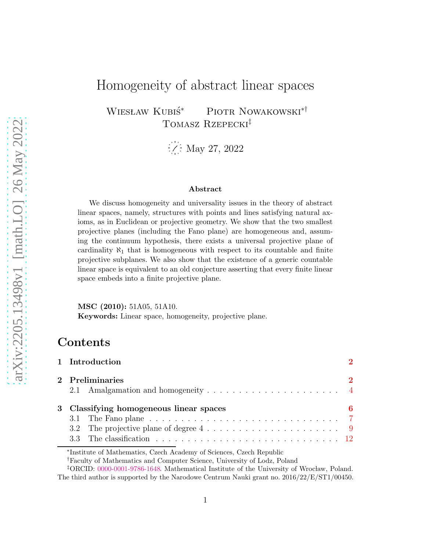# Homogeneity of abstract linear spaces

WIESŁAW KUBIŚ\* PIOTR NOWAKOWSKI<sup>\*†</sup> Tomasz Rzepecki‡

 $\frac{1}{2}$  May 27, 2022

#### Abstract

We discuss homogeneity and universality issues in the theory of abstract linear spaces, namely, structures with points and lines satisfying natural axioms, as in Euclidean or projective geometry. We show that the two smallest projective planes (including the Fano plane) are homogeneous and, assuming the continuum hypothesis, there exists a universal projective plane of cardinality  $\aleph_1$  that is homogeneous with respect to its countable and finite projective subplanes. We also show that the existence of a generic countable linear space is equivalent to an old conjecture asserting that every finite linear space embeds into a finite projective plane.

MSC (2010): 51A05, 51A10. Keywords: Linear space, homogeneity, projective plane.

### Contents

| 1 Introduction                                                                                                       |                       |
|----------------------------------------------------------------------------------------------------------------------|-----------------------|
| 2 Preliminaries                                                                                                      | $\mathcal{D}_{\cdot}$ |
| 3 Classifying homogeneous linear spaces<br>3.2 The projective plane of degree $4 \ldots \ldots \ldots \ldots \ldots$ | 6                     |

∗ Institute of Mathematics, Czech Academy of Sciences, Czech Republic

†Faculty of Mathematics and Computer Science, University of Lodz, Poland

<sup>‡</sup>ORCID: [0000-0001-9786-1648.](https://orcid.org/0000-0001-9786-1648) Mathematical Institute of the University of Wrocław, Poland. The third author is supported by the Narodowe Centrum Nauki grant no. 2016/22/E/ST1/00450.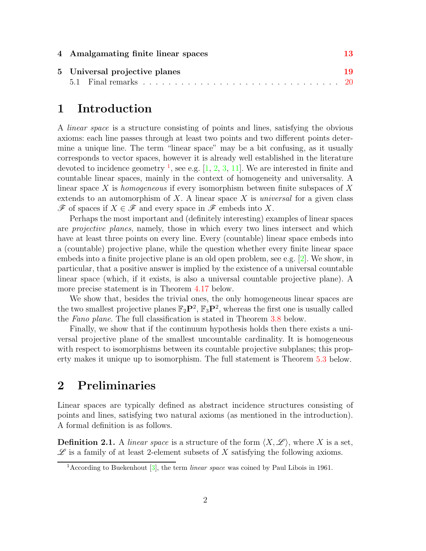| 4 Amalgamating finite linear spaces | 13 |
|-------------------------------------|----|
| 5 Universal projective planes       | 19 |
|                                     |    |

### <span id="page-1-0"></span>1 Introduction

A *linear space* is a structure consisting of points and lines, satisfying the obvious axioms: each line passes through at least two points and two different points determine a unique line. The term "linear space" may be a bit confusing, as it usually corresponds to vector spaces, however it is already well established in the literature devoted to incidence geometry <sup>[1](#page-1-2)</sup>, see e.g.  $[1, 2, 3, 11]$  $[1, 2, 3, 11]$  $[1, 2, 3, 11]$  $[1, 2, 3, 11]$  $[1, 2, 3, 11]$  $[1, 2, 3, 11]$ . We are interested in finite and countable linear spaces, mainly in the context of homogeneity and universality. A linear space X is *homogeneous* if every isomorphism between finite subspaces of X extends to an automorphism of X. A linear space X is *universal* for a given class  $\mathscr F$  of spaces if  $X \in \mathscr F$  and every space in  $\mathscr F$  embeds into X.

Perhaps the most important and (definitely interesting) examples of linear spaces are *projective planes*, namely, those in which every two lines intersect and which have at least three points on every line. Every (countable) linear space embeds into a (countable) projective plane, while the question whether every finite linear space embeds into a finite projective plane is an old open problem, see e.g. [\[2\]](#page-20-1). We show, in particular, that a positive answer is implied by the existence of a universal countable linear space (which, if it exists, is also a universal countable projective plane). A more precise statement is in Theorem [4.17](#page-17-0) below.

We show that, besides the trivial ones, the only homogeneous linear spaces are the two smallest projective planes  $\mathbb{F}_2\mathbf{P}^2$ ,  $\mathbb{F}_3\mathbf{P}^2$ , whereas the first one is usually called the *Fano plane*. The full classification is stated in Theorem [3.8](#page-11-1) below.

Finally, we show that if the continuum hypothesis holds then there exists a universal projective plane of the smallest uncountable cardinality. It is homogeneous with respect to isomorphisms between its countable projective subplanes; this property makes it unique up to isomorphism. The full statement is Theorem [5.3](#page-18-1) below.

### <span id="page-1-1"></span>2 Preliminaries

Linear spaces are typically defined as abstract incidence structures consisting of points and lines, satisfying two natural axioms (as mentioned in the introduction). A formal definition is as follows.

**Definition 2.1.** A *linear space* is a structure of the form  $\langle X, \mathscr{L} \rangle$ , where X is a set,  $\mathscr L$  is a family of at least 2-element subsets of X satisfying the following axioms.

<span id="page-1-2"></span><sup>&</sup>lt;sup>1</sup> According to Buekenhout  $\lceil 3 \rceil$ , the term *linear space* was coined by Paul Libois in 1961.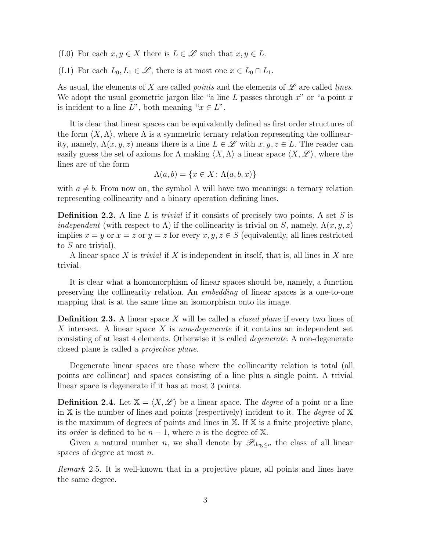(L0) For each  $x, y \in X$  there is  $L \in \mathscr{L}$  such that  $x, y \in L$ .

(L1) For each  $L_0, L_1 \in \mathscr{L}$ , there is at most one  $x \in L_0 \cap L_1$ .

As usual, the elements of X are called *points* and the elements of  $\mathscr L$  are called *lines*. We adopt the usual geometric jargon like "a line  $L$  passes through  $x$ " or "a point  $x$ " is incident to a line  $L^{\prime\prime}$ , both meaning " $x \in L^{\prime\prime}$ .

It is clear that linear spaces can be equivalently defined as first order structures of the form  $\langle X, \Lambda \rangle$ , where  $\Lambda$  is a symmetric ternary relation representing the collinearity, namely,  $\Lambda(x, y, z)$  means there is a line  $L \in \mathscr{L}$  with  $x, y, z \in L$ . The reader can easily guess the set of axioms for  $\Lambda$  making  $\langle X, \Lambda \rangle$  a linear space  $\langle X, \mathscr{L} \rangle$ , where the lines are of the form

$$
\Lambda(a, b) = \{x \in X : \Lambda(a, b, x)\}
$$

with  $a \neq b$ . From now on, the symbol  $\Lambda$  will have two meanings: a ternary relation representing collinearity and a binary operation defining lines.

**Definition 2.2.** A line L is *trivial* if it consists of precisely two points. A set S is *independent* (with respect to  $\Lambda$ ) if the collinearity is trivial on S, namely,  $\Lambda(x, y, z)$ implies  $x = y$  or  $x = z$  or  $y = z$  for every  $x, y, z \in S$  (equivalently, all lines restricted to S are trivial).

A linear space X is *trivial* if X is independent in itself, that is, all lines in X are trivial.

It is clear what a homomorphism of linear spaces should be, namely, a function preserving the collinearity relation. An *embedding* of linear spaces is a one-to-one mapping that is at the same time an isomorphism onto its image.

Definition 2.3. A linear space X will be called a *closed plane* if every two lines of X intersect. A linear space X is *non-degenerate* if it contains an independent set consisting of at least 4 elements. Otherwise it is called *degenerate*. A non-degenerate closed plane is called a *projective plane*.

Degenerate linear spaces are those where the collinearity relation is total (all points are collinear) and spaces consisting of a line plus a single point. A trivial linear space is degenerate if it has at most 3 points.

**Definition 2.4.** Let  $X = \langle X, \mathcal{L} \rangle$  be a linear space. The *degree* of a point or a line in X is the number of lines and points (respectively) incident to it. The *degree* of X is the maximum of degrees of points and lines in  $X$ . If  $X$  is a finite projective plane, its *order* is defined to be  $n-1$ , where n is the degree of X.

Given a natural number n, we shall denote by  $\mathscr{P}_{\text{deg}\leq n}$  the class of all linear spaces of degree at most n.

<span id="page-2-0"></span>*Remark* 2.5*.* It is well-known that in a projective plane, all points and lines have the same degree.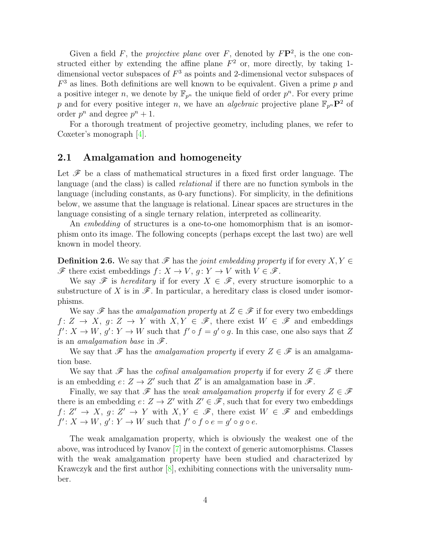Given a field  $F$ , the *projective plane* over  $F$ , denoted by  $F\mathbf{P}^2$ , is the one constructed either by extending the affine plane  $F^2$  or, more directly, by taking 1dimensional vector subspaces of  $F<sup>3</sup>$  as points and 2-dimensional vector subspaces of  $F<sup>3</sup>$  as lines. Both definitions are well known to be equivalent. Given a prime p and a positive integer n, we denote by  $\mathbb{F}_{p^n}$  the unique field of order  $p^n$ . For every prime p and for every positive integer n, we have an *algebraic* projective plane  $\mathbb{F}_{p^n}$ **P**<sup>2</sup> of order  $p^n$  and degree  $p^n + 1$ .

For a thorough treatment of projective geometry, including planes, we refer to Coxeter's monograph [\[4\]](#page-20-4).

#### <span id="page-3-0"></span>2.1 Amalgamation and homogeneity

Let  $\mathscr F$  be a class of mathematical structures in a fixed first order language. The language (and the class) is called *relational* if there are no function symbols in the language (including constants, as 0-ary functions). For simplicity, in the definitions below, we assume that the language is relational. Linear spaces are structures in the language consisting of a single ternary relation, interpreted as collinearity.

An *embedding* of structures is a one-to-one homomorphism that is an isomorphism onto its image. The following concepts (perhaps except the last two) are well known in model theory.

<span id="page-3-1"></span>**Definition 2.6.** We say that  $\mathscr F$  has the *joint embedding property* if for every  $X, Y \in$  $\mathscr F$  there exist embeddings  $f: X \to V$ ,  $g: Y \to V$  with  $V \in \mathscr F$ .

We say  $\mathscr F$  is *hereditary* if for every  $X \in \mathscr F$ , every structure isomorphic to a substructure of X is in  $\mathscr F$ . In particular, a hereditary class is closed under isomorphisms.

We say  $\mathscr F$  has the *amalgamation property* at  $Z \in \mathscr F$  if for every two embeddings  $f: Z \to X$ ,  $g: Z \to Y$  with  $X, Y \in \mathscr{F}$ , there exist  $W \in \mathscr{F}$  and embeddings  $f' : X \to W$ ,  $g' : Y \to W$  such that  $f' \circ f = g' \circ g$ . In this case, one also says that Z is an *amalgamation base* in F.

We say that  $\mathscr F$  has the *amalgamation property* if every  $Z \in \mathscr F$  is an amalgamation base.

We say that  $\mathscr F$  has the *cofinal amalgamation property* if for every  $Z \in \mathscr F$  there is an embedding  $e: Z \to Z'$  such that Z' is an amalgamation base in  $\mathscr{F}$ .

Finally, we say that  $\mathscr F$  has the *weak amalgamation property* if for every  $Z \in \mathscr F$ there is an embedding  $e: Z \to Z'$  with  $Z' \in \mathscr{F}$ , such that for every two embeddings  $f: Z' \to X$ ,  $g: Z' \to Y$  with  $X, Y \in \mathscr{F}$ , there exist  $W \in \mathscr{F}$  and embeddings  $f' : X \to W, g' : Y \to W$  such that  $f' \circ f \circ e = g' \circ g \circ e$ .

The weak amalgamation property, which is obviously the weakest one of the above, was introduced by Ivanov [\[7\]](#page-20-5) in the context of generic automorphisms. Classes with the weak amalgamation property have been studied and characterized by Krawczyk and the first author  $[8]$ , exhibiting connections with the universality number.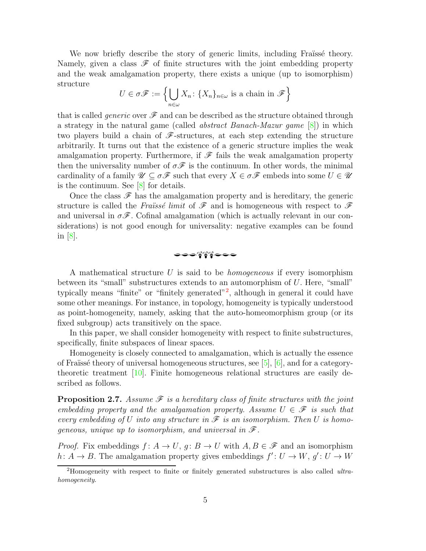We now briefly describe the story of generic limits, including Fraüssé theory. Namely, given a class  $\mathscr F$  of finite structures with the joint embedding property and the weak amalgamation property, there exists a unique (up to isomorphism) structure

$$
U \in \sigma \mathscr{F} := \left\{ \bigcup_{n \in \omega} X_n : \{X_n\}_{n \in \omega} \text{ is a chain in } \mathscr{F} \right\}
$$

that is called *generic* over  $\mathscr F$  and can be described as the structure obtained through a strategy in the natural game (called *abstract Banach-Mazur game* [\[8\]](#page-20-6)) in which two players build a chain of  $\mathscr{F}$ -structures, at each step extending the structure arbitrarily. It turns out that the existence of a generic structure implies the weak amalgamation property. Furthermore, if  $\mathscr F$  fails the weak amalgamation property then the universality number of  $\sigma \mathscr{F}$  is the continuum. In other words, the minimal cardinality of a family  $\mathscr{U} \subseteq \sigma \mathscr{F}$  such that every  $X \in \sigma \mathscr{F}$  embeds into some  $U \in \mathscr{U}$ is the continuum. See [\[8\]](#page-20-6) for details.

Once the class  $\mathscr F$  has the amalgamation property and is hereditary, the generic structure is called the *Fraïssé limit* of  $\mathscr F$  and is homogeneous with respect to  $\mathscr F$ and universal in  $\sigma\mathscr{F}$ . Cofinal amalgamation (which is actually relevant in our considerations) is not good enough for universality: negative examples can be found in [\[8\]](#page-20-6).

$$
\bullet\textcolor{blue}{\bullet\textcolor{blue}{\bullet\textcolor{blue}{\bullet}}\textcolor{blue}{\bullet^{\textcolor{blue}{\bullet}}\textcolor{blue}{\bullet^{\textcolor{blue}{\bullet}}\textcolor{blue}{\bullet\textcolor{blue}{\bullet}}\textcolor{blue}{\bullet}}}
$$

A mathematical structure U is said to be *homogeneous* if every isomorphism between its "small" substructures extends to an automorphism of U. Here, "small" typically means "finite" or "finitely generated"<sup>[2](#page-4-0)</sup>, although in general it could have some other meanings. For instance, in topology, homogeneity is typically understood as point-homogeneity, namely, asking that the auto-homeomorphism group (or its fixed subgroup) acts transitively on the space.

In this paper, we shall consider homogeneity with respect to finite substructures, specifically, finite subspaces of linear spaces.

Homogeneity is closely connected to amalgamation, which is actually the essence of Fraïssé theory of universal homogeneous structures, see  $[5]$ ,  $[6]$ , and for a categorytheoretic treatment [\[10\]](#page-20-9). Finite homogeneous relational structures are easily described as follows.

<span id="page-4-1"></span>**Proposition 2.7.** Assume  $\mathscr F$  is a hereditary class of finite structures with the joint *embedding property and the amalgamation property. Assume*  $U \in \mathscr{F}$  *is such that every embedding of* U *into any structure in*  $\mathscr F$  *is an isomorphism. Then* U *is homogeneous, unique up to isomorphism, and universal in* F*.*

*Proof.* Fix embeddings  $f: A \to U$ ,  $g: B \to U$  with  $A, B \in \mathscr{F}$  and an isomorphism  $h: A \to B$ . The amalgamation property gives embeddings  $f': U \to W$ ,  $g': U \to W$ 

<span id="page-4-0"></span><sup>&</sup>lt;sup>2</sup>Homogeneity with respect to finite or finitely generated substructures is also called *ultra*homogeneity.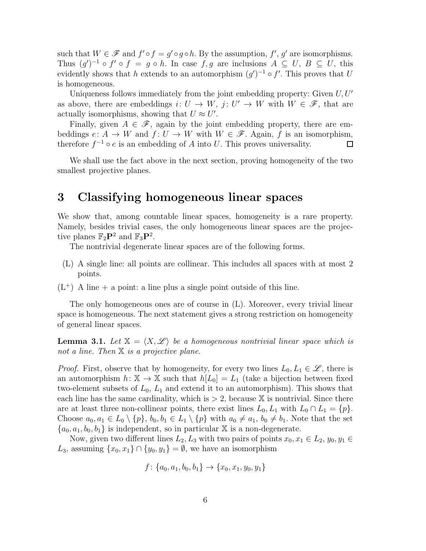such that  $W \in \mathscr{F}$  and  $f' \circ f = g' \circ g \circ h$ . By the assumption,  $f', g'$  are isomorphisms. Thus  $(g')^{-1} \circ f' \circ f = g \circ h$ . In case f, g are inclusions  $A \subseteq U$ ,  $B \subseteq U$ , this evidently shows that h extends to an automorphism  $(g')^{-1} \circ f'$ . This proves that U is homogeneous.

Uniqueness follows immediately from the joint embedding property: Given  $U, U'$ as above, there are embeddings  $i: U \to W$ ,  $j: U' \to W$  with  $W \in \mathscr{F}$ , that are actually isomorphisms, showing that  $U \approx U'$ .

Finally, given  $A \in \mathscr{F}$ , again by the joint embedding property, there are embeddings  $e: A \to W$  and  $f: U \to W$  with  $W \in \mathscr{F}$ . Again, f is an isomorphism, therefore  $f^{-1} \circ e$  is an embedding of A into U. This proves universality.  $\Box$ 

We shall use the fact above in the next section, proving homogeneity of the two smallest projective planes.

# <span id="page-5-0"></span>3 Classifying homogeneous linear spaces

We show that, among countable linear spaces, homogeneity is a rare property. Namely, besides trivial cases, the only homogeneous linear spaces are the projective planes  $\mathbb{F}_2\mathbf{P}^2$  and  $\mathbb{F}_3\mathbf{P}^2$ .

The nontrivial degenerate linear spaces are of the following forms.

- (L) A single line: all points are collinear. This includes all spaces with at most 2 points.
- $(L^+)$  A line + a point: a line plus a single point outside of this line.

The only homogeneous ones are of course in (L). Moreover, every trivial linear space is homogeneous. The next statement gives a strong restriction on homogeneity of general linear spaces.

**Lemma 3.1.** Let  $X = \langle X, \mathcal{L} \rangle$  be a homogeneous nontrivial linear space which is *not a line. Then* X *is a projective plane.*

*Proof.* First, observe that by homogeneity, for every two lines  $L_0, L_1 \in \mathscr{L}$ , there is an automorphism  $h: \mathbb{X} \to \mathbb{X}$  such that  $h[L_0] = L_1$  (take a bijection between fixed two-element subsets of  $L_0$ ,  $L_1$  and extend it to an automorphism). This shows that each line has the same cardinality, which is  $> 2$ , because X is nontrivial. Since there are at least three non-collinear points, there exist lines  $L_0, L_1$  with  $L_0 \cap L_1 = \{p\}.$ Choose  $a_0, a_1 \in L_0 \setminus \{p\}, b_0, b_1 \in L_1 \setminus \{p\}$  with  $a_0 \neq a_1, b_0 \neq b_1$ . Note that the set  ${a_0, a_1, b_0, b_1}$  is independent, so in particular X is a non-degenerate.

Now, given two different lines  $L_2, L_3$  with two pairs of points  $x_0, x_1 \in L_2, y_0, y_1 \in$  $L_3$ , assuming  $\{x_0, x_1\} \cap \{y_0, y_1\} = \emptyset$ , we have an isomorphism

$$
f: \{a_0, a_1, b_0, b_1\} \rightarrow \{x_0, x_1, y_0, y_1\}
$$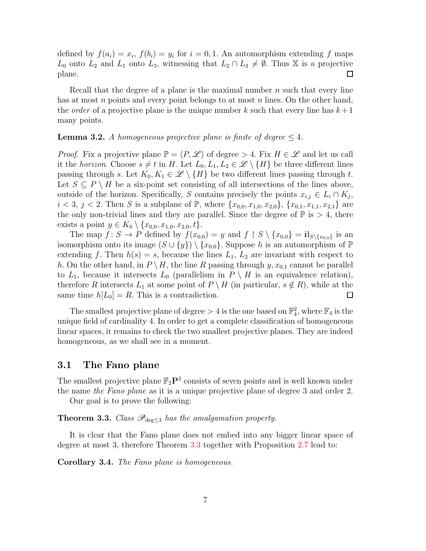defined by  $f(a_i) = x_i$ ,  $f(b_i) = y_i$  for  $i = 0, 1$ . An automorphism extending f maps  $L_0$  onto  $L_2$  and  $L_1$  onto  $L_3$ , witnessing that  $L_2 \cap L_3 \neq \emptyset$ . Thus X is a projective plane.  $\Box$ 

Recall that the degree of a plane is the maximal number  $n$  such that every line has at most n points and every point belongs to at most n lines. On the other hand, the *order* of a projective plane is the unique number k such that every line has  $k+1$ many points.

<span id="page-6-2"></span>**Lemma 3.2.** *A homogeneous projective plane is finite of degree*  $\leq 4$ *.* 

*Proof.* Fix a projective plane  $\mathbb{P} = \langle P, \mathscr{L} \rangle$  of degree > 4. Fix  $H \in \mathscr{L}$  and let us call it the *horizon*. Choose  $s \neq t$  in H. Let  $L_0, L_1, L_2 \in \mathcal{L} \setminus \{H\}$  be three different lines passing through s. Let  $K_0, K_1 \in \mathscr{L} \setminus \{H\}$  be two different lines passing through t. Let  $S \subseteq P \setminus H$  be a six-point set consisting of all intersections of the lines above, outside of the horizon. Specifically, S contains precisely the points  $x_{i,j} \in L_i \cap K_j$ ,  $i < 3, j < 2$ . Then S is a subplane of P, where  $\{x_{0,0}, x_{1,0}, x_{2,0}\}, \{x_{0,1}, x_{1,1}, x_{2,1}\}$  are the only non-trivial lines and they are parallel. Since the degree of  $\mathbb{P}$  is  $> 4$ , there exists a point  $y \in K_0 \setminus \{x_{0,0}, x_{1,0}, x_{2,0}, t\}.$ 

The map  $f: S \to P$  defined by  $f(x_{0,0}) = y$  and  $f \upharpoonright S \setminus \{x_{0,0}\} = \mathbf{H}_{S \setminus \{x_{0,0}\}}$  is an isomorphism onto its image  $(S \cup \{y\}) \setminus \{x_{0,0}\}.$  Suppose h is an automorphism of  $\mathbb P$ extending f. Then  $h(s) = s$ , because the lines  $L_1$ ,  $L_2$  are invariant with respect to h. On the other hand, in  $P \setminus H$ , the line R passing through  $y, x_{0,1}$  cannot be parallel to  $L_1$ , because it intersects  $L_0$  (parallelism in  $P \setminus H$  is an equivalence relation), therefore R intersects  $L_1$  at some point of  $P \setminus H$  (in particular,  $s \notin R$ ), while at the same time  $h[L_0] = R$ . This is a contradiction.  $\Box$ 

The smallest projective plane of degree  $> 4$  is the one based on  $\mathbb{F}_4^2$ , where  $\mathbb{F}_4$  is the unique field of cardinality 4. In order to get a complete classification of homogeneous linear spaces, it remains to check the two smallest projective planes. They are indeed homogeneous, as we shall see in a moment.

#### <span id="page-6-0"></span>3.1 The Fano plane

The smallest projective plane  $\mathbb{F}_2\mathbf{P}^2$  consists of seven points and is well known under the name *the Fano plane* as it is a unique projective plane of degree 3 and order 2.

Our goal is to prove the following:

<span id="page-6-1"></span>**Theorem 3.3.** *Class*  $\mathscr{P}_{\text{deg}\leq3}$  *has the amalgamation property.* 

It is clear that the Fano plane does not embed into any bigger linear space of degree at most 3, therefore Theorem [3.3](#page-6-1) together with Proposition [2.7](#page-4-1) lead to:

Corollary 3.4. *The Fano plane is homogeneous.*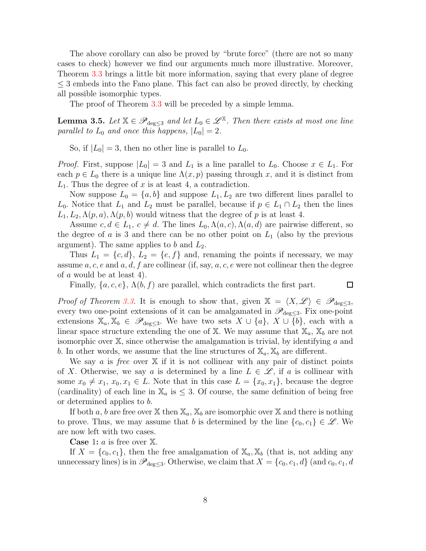The above corollary can also be proved by "brute force" (there are not so many cases to check) however we find our arguments much more illustrative. Moreover, Theorem [3.3](#page-6-1) brings a little bit more information, saying that every plane of degree  $\leq$  3 embeds into the Fano plane. This fact can also be proved directly, by checking all possible isomorphic types.

The proof of Theorem [3.3](#page-6-1) will be preceded by a simple lemma.

<span id="page-7-0"></span>**Lemma 3.5.** Let  $\mathbb{X} \in \mathscr{P}_{\text{deg}\leq 3}$  and let  $L_0 \in \mathscr{L}^{\mathbb{X}}$ . Then there exists at most one line *parallel to*  $L_0$  *and once this happens,*  $|L_0| = 2$ *.* 

So, if  $|L_0| = 3$ , then no other line is parallel to  $L_0$ .

*Proof.* First, suppose  $|L_0| = 3$  and  $L_1$  is a line parallel to  $L_0$ . Choose  $x \in L_1$ . For each  $p \in L_0$  there is a unique line  $\Lambda(x, p)$  passing through x, and it is distinct from  $L_1$ . Thus the degree of x is at least 4, a contradiction.

Now suppose  $L_0 = \{a, b\}$  and suppose  $L_1, L_2$  are two different lines parallel to  $L_0$ . Notice that  $L_1$  and  $L_2$  must be parallel, because if  $p \in L_1 \cap L_2$  then the lines  $L_1, L_2, \Lambda(p, a), \Lambda(p, b)$  would witness that the degree of p is at least 4.

Assume  $c, d \in L_1, c \neq d$ . The lines  $L_0, \Lambda(a, c), \Lambda(a, d)$  are pairwise different, so the degree of a is 3 and there can be no other point on  $L_1$  (also by the previous argument). The same applies to b and  $L_2$ .

Thus  $L_1 = \{c, d\}, L_2 = \{e, f\}$  and, renaming the points if necessary, we may assume  $a, c, e$  and  $a, d, f$  are collinear (if, say,  $a, c, e$  were not collinear then the degree of a would be at least 4).

Finally,  $\{a, c, e\}$ ,  $\Lambda(b, f)$  are parallel, which contradicts the first part.

 $\Box$ 

*Proof of Theorem [3.3.](#page-6-1)* It is enough to show that, given  $X = \langle X, \mathscr{L} \rangle \in \mathscr{P}_{\text{deg}\leq 3}$ , every two one-point extensions of it can be amalgamated in  $\mathscr{P}_{\text{deg}\leq3}$ . Fix one-point extensions  $\mathbb{X}_a, \mathbb{X}_b \in \mathscr{P}_{\text{deg}\leq 3}$ . We have two sets  $X \cup \{a\}, X \cup \{b\}$ , each with a linear space structure extending the one of X. We may assume that  $\mathbb{X}_a$ ,  $\mathbb{X}_b$  are not isomorphic over  $X$ , since otherwise the amalgamation is trivial, by identifying a and b. In other words, we assume that the line structures of  $\mathbb{X}_a, \mathbb{X}_b$  are different.

We say a is *free* over X if it is not collinear with any pair of distinct points of X. Otherwise, we say a is determined by a line  $L \in \mathscr{L}$ , if a is collinear with some  $x_0 \neq x_1, x_0, x_1 \in L$ . Note that in this case  $L = \{x_0, x_1\}$ , because the degree (cardinality) of each line in  $\mathbb{X}_a$  is  $\leq$  3. Of course, the same definition of being free or determined applies to b.

If both a, b are free over X then  $\mathbb{X}_a$ ,  $\mathbb{X}_b$  are isomorphic over X and there is nothing to prove. Thus, we may assume that b is determined by the line  $\{c_0, c_1\} \in \mathscr{L}$ . We are now left with two cases.

**Case** 1:  $a$  is free over  $X$ .

If  $X = \{c_0, c_1\}$ , then the free amalgamation of  $\mathbb{X}_a, \mathbb{X}_b$  (that is, not adding any unnecessary lines) is in  $\mathscr{P}_{\text{deg}\leq3}$ . Otherwise, we claim that  $X = \{c_0, c_1, d\}$  (and  $c_0, c_1, d$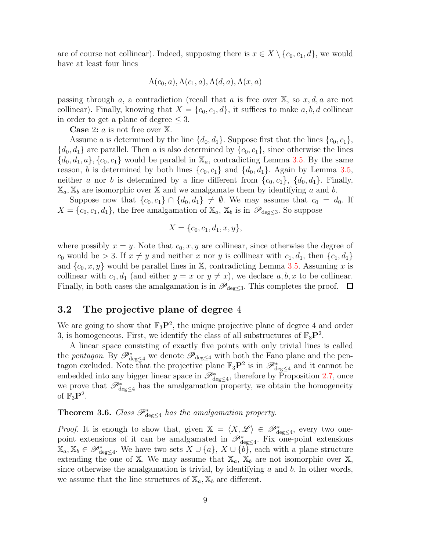are of course not collinear). Indeed, supposing there is  $x \in X \setminus \{c_0, c_1, d\}$ , we would have at least four lines

$$
\Lambda(c_0, a), \Lambda(c_1, a), \Lambda(d, a), \Lambda(x, a)
$$

passing through a, a contradiction (recall that a is free over  $X$ , so  $x, d, a$  are not collinear). Finally, knowing that  $X = \{c_0, c_1, d\}$ , it suffices to make a, b, d collinear in order to get a plane of degree  $\leq$  3.

**Case** 2:  $a$  is not free over  $X$ .

Assume a is determined by the line  $\{d_0, d_1\}$ . Suppose first that the lines  $\{c_0, c_1\}$ ,  ${d_0, d_1}$  are parallel. Then a is also determined by  ${c_0, c_1}$ , since otherwise the lines  ${d_0, d_1, a}$ ,  ${c_0, c_1}$  would be parallel in  $\mathbb{X}_a$ , contradicting Lemma [3.5.](#page-7-0) By the same reason, b is determined by both lines  $\{c_0, c_1\}$  and  $\{d_0, d_1\}$ . Again by Lemma [3.5,](#page-7-0) neither a nor b is determined by a line different from  $\{c_0, c_1\}$ ,  $\{d_0, d_1\}$ . Finally,  $\mathbb{X}_a, \mathbb{X}_b$  are isomorphic over X and we amalgamate them by identifying a and b.

Suppose now that  $\{c_0, c_1\} \cap \{d_0, d_1\} \neq \emptyset$ . We may assume that  $c_0 = d_0$ . If  $X = \{c_0, c_1, d_1\}$ , the free amalgamation of  $\mathbb{X}_a$ ,  $\mathbb{X}_b$  is in  $\mathscr{P}_{\text{deg}\leq 3}$ . So suppose

$$
X = \{c_0, c_1, d_1, x, y\},\
$$

where possibly  $x = y$ . Note that  $c_0, x, y$  are collinear, since otherwise the degree of  $c_0$  would be  $> 3$ . If  $x \neq y$  and neither x nor y is collinear with  $c_1, d_1$ , then  $\{c_1, d_1\}$ and  $\{c_0, x, y\}$  would be parallel lines in X, contradicting Lemma [3.5.](#page-7-0) Assuming x is collinear with  $c_1, d_1$  (and either  $y = x$  or  $y \neq x$ ), we declare  $a, b, x$  to be collinear. Finally, in both cases the amalgamation is in  $\mathscr{P}_{\text{deg}\leq3}$ . This completes the proof.  $\Box$ 

### <span id="page-8-0"></span>3.2 The projective plane of degree 4

We are going to show that  $\mathbb{F}_3\mathbf{P}^2$ , the unique projective plane of degree 4 and order 3, is homogeneous. First, we identify the class of all substructures of  $\mathbb{F}_3\mathbb{P}^2$ .

A linear space consisting of exactly five points with only trivial lines is called the *pentagon*. By  $\mathscr{P}^*_{\text{deg}\leq 4}$  we denote  $\mathscr{P}_{\text{deg}\leq 4}$  with both the Fano plane and the pentagon excluded. Note that the projective plane  $\mathbb{F}_3\mathbf{P}^2$  is in  $\mathscr{P}^*_{\text{deg}\leq 4}$  and it cannot be embedded into any bigger linear space in  $\mathscr{P}^*_{\text{deg}\leq 4}$ , therefore by Proposition [2.7,](#page-4-1) once we prove that  $\mathscr{P}^*_{\text{deg}\leq 4}$  has the amalgamation property, we obtain the homogeneity of  $\mathbb{F}_3\mathbf{P}^2$ .

## **Theorem 3.6.** *Class*  $\mathscr{P}_{\text{deg}\leq 4}^{*}$  *has the amalgamation property.*

*Proof.* It is enough to show that, given  $X = \langle X, \mathscr{L} \rangle \in \mathscr{P}_{\deg \leq 4}^*$ , every two onepoint extensions of it can be amalgamated in  $\mathscr{P}_{\deg\leq 4}^*$ . Fix one-point extensions  $\mathbb{X}_a, \mathbb{X}_b \in \mathscr{P}^*_{\text{deg}\leq 4}$ . We have two sets  $X \cup \{a\}, X \cup \{b\}$ , each with a plane structure extending the one of X. We may assume that  $\mathbb{X}_a$ ,  $\mathbb{X}_b$  are not isomorphic over X, since otherwise the amalgamation is trivial, by identifying  $a$  and  $b$ . In other words, we assume that the line structures of  $\mathbb{X}_a, \mathbb{X}_b$  are different.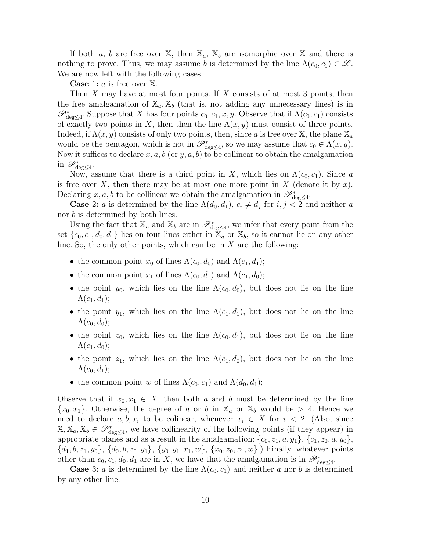If both a, b are free over X, then  $\mathbb{X}_a$ ,  $\mathbb{X}_b$  are isomorphic over X and there is nothing to prove. Thus, we may assume b is determined by the line  $\Lambda(c_0, c_1) \in \mathscr{L}$ . We are now left with the following cases.

**Case** 1:  $a$  is free over  $X$ .

Then X may have at most four points. If X consists of at most 3 points, then the free amalgamation of  $\mathbb{X}_a, \mathbb{X}_b$  (that is, not adding any unnecessary lines) is in  $\mathscr{P}^*_{\text{deg}\leq 4}$ . Suppose that X has four points  $c_0, c_1, x, y$ . Observe that if  $\Lambda(c_0, c_1)$  consists of exactly two points in X, then then the line  $\Lambda(x, y)$  must consist of three points. Indeed, if  $\Lambda(x, y)$  consists of only two points, then, since a is free over X, the plane  $\mathbb{X}_a$ would be the pentagon, which is not in  $\mathscr{P}_{\deg\leq 4}^*$ , so we may assume that  $c_0 \in \Lambda(x, y)$ . Now it suffices to declare  $x, a, b$  (or  $y, a, b$ ) to be collinear to obtain the amalgamation in  $\mathscr{P}_{\text{deg}\leq 4}^*$ .

Now, assume that there is a third point in X, which lies on  $\Lambda(c_0, c_1)$ . Since a is free over X, then there may be at most one more point in X (denote it by x). Declaring x, a, b to be collinear we obtain the amalgamation in  $\mathscr{P}^*_{\text{deg}\leq 4}$ .

**Case 2:** a is determined by the line  $\Lambda(d_0, d_1)$ ,  $c_i \neq d_j$  for  $i, j < 2$  and neither a nor b is determined by both lines.

Using the fact that  $\mathbb{X}_a$  and  $\mathbb{X}_b$  are in  $\mathscr{P}_{\deg\leq 4}^*$ , we infer that every point from the set  $\{c_0, c_1, d_0, d_1\}$  lies on four lines either in  $\overline{X}_a$  or  $X_b$ , so it cannot lie on any other line. So, the only other points, which can be in  $X$  are the following:

- the common point  $x_0$  of lines  $\Lambda(c_0, d_0)$  and  $\Lambda(c_1, d_1)$ ;
- the common point  $x_1$  of lines  $\Lambda(c_0, d_1)$  and  $\Lambda(c_1, d_0)$ ;
- the point  $y_0$ , which lies on the line  $\Lambda(c_0, d_0)$ , but does not lie on the line  $\Lambda(c_1, d_1);$
- the point  $y_1$ , which lies on the line  $\Lambda(c_1, d_1)$ , but does not lie on the line  $\Lambda(c_0, d_0);$
- the point  $z_0$ , which lies on the line  $\Lambda(c_0, d_1)$ , but does not lie on the line  $\Lambda(c_1, d_0);$
- the point  $z_1$ , which lies on the line  $\Lambda(c_1, d_0)$ , but does not lie on the line  $\Lambda(c_0, d_1);$
- the common point w of lines  $\Lambda(c_0, c_1)$  and  $\Lambda(d_0, d_1)$ ;

Observe that if  $x_0, x_1 \in X$ , then both a and b must be determined by the line  ${x_0, x_1}$ . Otherwise, the degree of a or b in  $\mathbb{X}_a$  or  $\mathbb{X}_b$  would be > 4. Hence we need to declare  $a, b, x_i$  to be colinear, whenever  $x_i \in X$  for  $i < 2$ . (Also, since  $\mathbb{X}, \mathbb{X}_a, \mathbb{X}_b \in \mathscr{P}_{\text{deg}\leq 4}^*$ , we have collinearity of the following points (if they appear) in appropriate planes and as a result in the amalgamation:  $\{c_0, z_1, a, y_1\}, \{c_1, z_0, a, y_0\},\$  $\{d_1, b, z_1, y_0\}, \{d_0, b, z_0, y_1\}, \{y_0, y_1, x_1, w\}, \{x_0, z_0, z_1, w\}$ .) Finally, whatever points other than  $c_0, c_1, d_0, d_1$  are in X, we have that the amalgamation is in  $\mathscr{P}^*_{\text{deg}\leq 4}$ .

**Case** 3: *a* is determined by the line  $\Lambda(c_0, c_1)$  and neither *a* nor *b* is determined by any other line.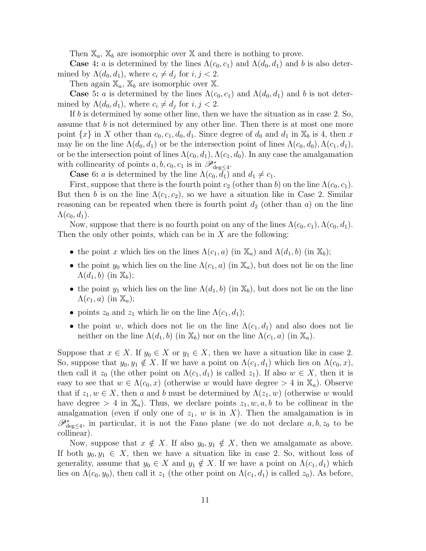Then  $\mathbb{X}_a$ ,  $\mathbb{X}_b$  are isomorphic over X and there is nothing to prove.

**Case** 4: a is determined by the lines  $\Lambda(c_0, c_1)$  and  $\Lambda(d_0, d_1)$  and b is also determined by  $\Lambda(d_0, d_1)$ , where  $c_i \neq d_j$  for  $i, j < 2$ .

Then again  $\mathbb{X}_a$ ,  $\mathbb{X}_b$  are isomorphic over  $\mathbb{X}_a$ .

**Case** 5: *a* is determined by the lines  $\Lambda(c_0, c_1)$  and  $\Lambda(d_0, d_1)$  and b is not determined by  $\Lambda(d_0, d_1)$ , where  $c_i \neq d_j$  for  $i, j < 2$ .

If b is determined by some other line, then we have the situation as in case 2. So, assume that  $b$  is not determined by any other line. Then there is at most one more point  $\{x\}$  in X other than  $c_0, c_1, d_0, d_1$ . Since degree of  $d_0$  and  $d_1$  in  $\mathbb{X}_b$  is 4, then x may lie on the line  $\Lambda(d_0, d_1)$  or be the intersection point of lines  $\Lambda(c_0, d_0)$ ,  $\Lambda(c_1, d_1)$ , or be the intersection point of lines  $\Lambda(c_0, d_1), \Lambda(c_1, d_0)$ . In any case the amalgamation with collinearity of points  $a, b, c_0, c_1$  is in  $\mathscr{P}_{\deg \leq 4}^*$ .

**Case** 6: *a* is determined by the line  $\Lambda(c_0, d_1)$  and  $d_1 \neq c_1$ .

First, suppose that there is the fourth point  $c_2$  (other than b) on the line  $\Lambda(c_0, c_1)$ . But then b is on the line  $\Lambda(c_1, c_2)$ , so we have a situation like in Case 2. Similar reasoning can be repeated when there is fourth point  $d_2$  (other than a) on the line  $\Lambda(c_0, d_1).$ 

Now, suppose that there is no fourth point on any of the lines  $\Lambda(c_0, c_1), \Lambda(c_0, d_1)$ . Then the only other points, which can be in  $X$  are the following:

- the point x which lies on the lines  $\Lambda(c_1, a)$  (in  $\mathbb{X}_a$ ) and  $\Lambda(d_1, b)$  (in  $\mathbb{X}_b$ );
- the point  $y_0$  which lies on the line  $\Lambda(c_1, a)$  (in  $\mathbb{X}_a$ ), but does not lie on the line  $\Lambda(d_1, b)$  (in  $\mathbb{X}_b$ );
- the point  $y_1$  which lies on the line  $\Lambda(d_1, b)$  (in  $\mathbb{X}_b$ ), but does not lie on the line  $\Lambda(c_1, a)$  (in  $\mathbb{X}_a$ );
- points  $z_0$  and  $z_1$  which lie on the line  $\Lambda(c_1, d_1);$
- the point w, which does not lie on the line  $\Lambda(c_1, d_1)$  and also does not lie neither on the line  $\Lambda(d_1, b)$  (in  $\mathbb{X}_b$ ) nor on the line  $\Lambda(c_1, a)$  (in  $\mathbb{X}_a$ ).

Suppose that  $x \in X$ . If  $y_0 \in X$  or  $y_1 \in X$ , then we have a situation like in case 2. So, suppose that  $y_0, y_1 \notin X$ . If we have a point on  $\Lambda(c_1, d_1)$  which lies on  $\Lambda(c_0, x)$ , then call it  $z_0$  (the other point on  $\Lambda(c_1, d_1)$  is called  $z_1$ ). If also  $w \in X$ , then it is easy to see that  $w \in \Lambda(c_0, x)$  (otherwise w would have degree  $> 4$  in  $\mathbb{X}_a$ ). Observe that if  $z_1, w \in X$ , then a and b must be determined by  $\Lambda(z_1, w)$  (otherwise w would have degree  $> 4$  in  $\mathbb{X}_a$ ). Thus, we declare points  $z_1, w, a, b$  to be collinear in the amalgamation (even if only one of  $z_1$ , w is in X). Then the amalgamation is in  $\mathscr{P}^*_{\text{deg}\leq 4}$ , in particular, it is not the Fano plane (we do not declare  $a, b, z_0$  to be collinear).

Now, suppose that  $x \notin X$ . If also  $y_0, y_1 \notin X$ , then we amalgamate as above. If both  $y_0, y_1 \in X$ , then we have a situation like in case 2. So, without loss of generality, assume that  $y_0 \in X$  and  $y_1 \notin X$ . If we have a point on  $\Lambda(c_1, d_1)$  which lies on  $\Lambda(c_0, y_0)$ , then call it  $z_1$  (the other point on  $\Lambda(c_1, d_1)$  is called  $z_0$ ). As before,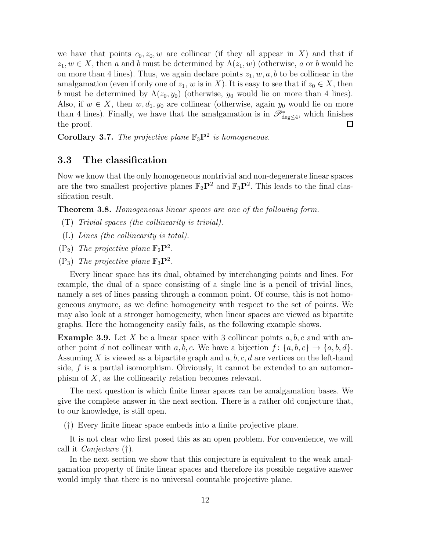we have that points  $c_0, z_0, w$  are collinear (if they all appear in X) and that if  $z_1, w \in X$ , then a and b must be determined by  $\Lambda(z_1, w)$  (otherwise, a or b would lie on more than 4 lines). Thus, we again declare points  $z_1, w, a, b$  to be collinear in the amalgamation (even if only one of  $z_1$ , w is in X). It is easy to see that if  $z_0 \in X$ , then b must be determined by  $\Lambda(z_0, y_0)$  (otherwise,  $y_0$  would lie on more than 4 lines). Also, if  $w \in X$ , then  $w, d_1, y_0$  are collinear (otherwise, again  $y_0$  would lie on more than 4 lines). Finally, we have that the amalgamation is in  $\mathscr{P}^*_{\text{deg}\leq 4}$ , which finishes the proof. ப

<span id="page-11-0"></span>Corollary 3.7. *The projective plane*  $\mathbb{F}_3\mathbf{P}^2$  *is homogeneous.* 

#### 3.3 The classification

Now we know that the only homogeneous nontrivial and non-degenerate linear spaces are the two smallest projective planes  $\mathbb{F}_2\mathbf{P}^2$  and  $\mathbb{F}_3\mathbf{P}^2$ . This leads to the final classification result.

<span id="page-11-1"></span>Theorem 3.8. *Homogeneous linear spaces are one of the following form.*

- (T) *Trivial spaces (the collinearity is trivial).*
- (L) *Lines (the collinearity is total).*
- $(P_2)$  *The projective plane*  $\mathbb{F}_2\mathbf{P}^2$ *.*
- $(P_3)$  *The projective plane*  $\mathbb{F}_3\mathbf{P}^2$ *.*

Every linear space has its dual, obtained by interchanging points and lines. For example, the dual of a space consisting of a single line is a pencil of trivial lines, namely a set of lines passing through a common point. Of course, this is not homogeneous anymore, as we define homogeneity with respect to the set of points. We may also look at a stronger homogeneity, when linear spaces are viewed as bipartite graphs. Here the homogeneity easily fails, as the following example shows.

**Example 3.9.** Let X be a linear space with 3 collinear points  $a, b, c$  and with another point d not collinear with a, b, c. We have a bijection  $f: \{a, b, c\} \rightarrow \{a, b, d\}.$ Assuming X is viewed as a bipartite graph and  $a, b, c, d$  are vertices on the left-hand side,  $f$  is a partial isomorphism. Obviously, it cannot be extended to an automorphism of X, as the collinearity relation becomes relevant.

The next question is which finite linear spaces can be amalgamation bases. We give the complete answer in the next section. There is a rather old conjecture that, to our knowledge, is still open.

(†) Every finite linear space embeds into a finite projective plane.

It is not clear who first posed this as an open problem. For convenience, we will call it *Conjecture* (†).

In the next section we show that this conjecture is equivalent to the weak amalgamation property of finite linear spaces and therefore its possible negative answer would imply that there is no universal countable projective plane.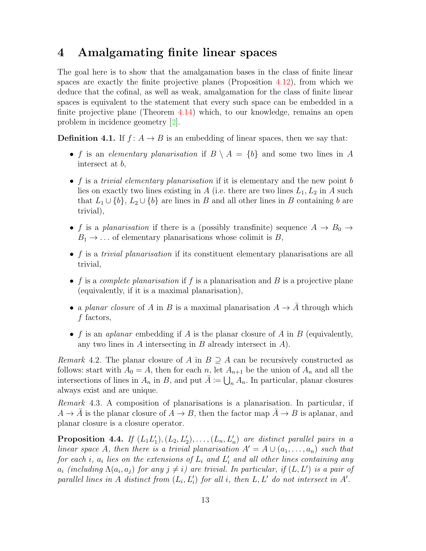### <span id="page-12-0"></span>4 Amalgamating finite linear spaces

The goal here is to show that the amalgamation bases in the class of finite linear spaces are exactly the finite projective planes (Proposition [4.12\)](#page-16-0), from which we deduce that the cofinal, as well as weak, amalgamation for the class of finite linear spaces is equivalent to the statement that every such space can be embedded in a finite projective plane (Theorem [4.14\)](#page-17-1) which, to our knowledge, remains an open problem in incidence geometry [\[2\]](#page-20-1).

**Definition 4.1.** If  $f: A \rightarrow B$  is an embedding of linear spaces, then we say that:

- f is an *elementary planarisation* if  $B \setminus A = \{b\}$  and some two lines in A intersect at b,
- f is a *trivial elementary planarisation* if it is elementary and the new point b lies on exactly two lines existing in A (i.e. there are two lines  $L_1, L_2$  in A such that  $L_1 \cup \{b\}$ ,  $L_2 \cup \{b\}$  are lines in B and all other lines in B containing b are trivial),
- f is a *planarisation* if there is a (possibly transfinite) sequence  $A \rightarrow B_0 \rightarrow$  $B_1 \rightarrow \ldots$  of elementary planarisations whose colimit is B,
- f is a *trivial planarisation* if its constituent elementary planarisations are all trivial,
- f is a *complete planarisation* if f is a planarisation and B is a projective plane (equivalently, if it is a maximal planarisation),
- a *planar closure* of A in B is a maximal planarisation  $A \rightarrow \overline{A}$  through which f factors,
- f is an *aplanar* embedding if A is the planar closure of A in B (equivalently, any two lines in  $A$  intersecting in  $B$  already intersect in  $A$ ).

*Remark* 4.2. The planar closure of A in  $B \supseteq A$  can be recursively constructed as follows: start with  $A_0 = A$ , then for each n, let  $A_{n+1}$  be the union of  $A_n$  and all the intersections of lines in  $A_n$  in B, and put  $\overline{A} := \bigcup_n A_n$ . In particular, planar closures always exist and are unique.

*Remark* 4.3*.* A composition of planarisations is a planarisation. In particular, if  $A \to \overline{A}$  is the planar closure of  $A \to B$ , then the factor map  $\overline{A} \to B$  is aplanar, and planar closure is a closure operator.

<span id="page-12-1"></span>**Proposition 4.4.** If  $(L_1L'_1), (L_2, L'_2), \ldots, (L_n, L'_n)$  are distinct parallel pairs in a *linear space* A, then there is a trivial planarisation  $A' = A \cup (a_1, \ldots, a_n)$  such that  $for each i, a_i$  lies on the extensions of  $L_i$  and  $L'_i$  and all other lines containing any  $a_i$  (including  $\Lambda(a_i, a_j)$  for any  $j \neq i$ ) are trivial. In particular, if  $(L, L')$  is a pair of *parallel lines in* A *distinct from*  $(L_i, L'_i)$  *for all i, then*  $L, L'$  *do not intersect in*  $A'$ *.*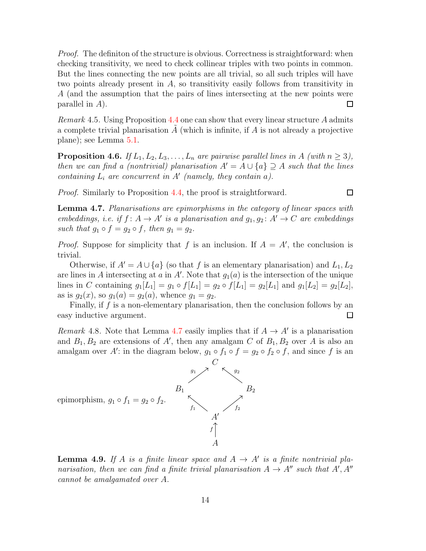*Proof.* The definition of the structure is obvious. Correctness is straightforward: when checking transitivity, we need to check collinear triples with two points in common. But the lines connecting the new points are all trivial, so all such triples will have two points already present in A, so transitivity easily follows from transitivity in A (and the assumption that the pairs of lines intersecting at the new points were parallel in A).  $\Box$ 

*Remark* 4.5*.* Using Proposition [4.4](#page-12-1) one can show that every linear structure A admits a complete trivial planarisation  $A$  (which is infinite, if  $A$  is not already a projective plane); see Lemma [5.1.](#page-18-2)

<span id="page-13-3"></span>**Proposition 4.6.** *If*  $L_1, L_2, L_3, \ldots, L_n$  *are pairwise parallel lines in* A *(with*  $n \geq 3$ *)*, *then we can find a (nontrivial) planarisation*  $A' = A \cup \{a\} \supseteq A$  *such that the lines containing*  $L_i$  *are concurrent in*  $A'$  (*namely, they contain a*).

 $\Box$ 

*Proof.* Similarly to Proposition [4.4,](#page-12-1) the proof is straightforward.

<span id="page-13-0"></span>Lemma 4.7. *Planarisations are epimorphisms in the category of linear spaces with embeddings, i.e. if*  $f: A \to A'$  *is a planarisation and*  $g_1, g_2: A' \to C$  *are embeddings such that*  $g_1 \circ f = g_2 \circ f$ , then  $g_1 = g_2$ .

*Proof.* Suppose for simplicity that f is an inclusion. If  $A = A'$ , the conclusion is trivial.

Otherwise, if  $A' = A \cup \{a\}$  (so that f is an elementary planarisation) and  $L_1, L_2$ are lines in A intersecting at a in A'. Note that  $g_1(a)$  is the intersection of the unique lines in C containing  $g_1[L_1] = g_1 \circ f[L_1] = g_2 \circ f[L_1] = g_2[L_1]$  and  $g_1[L_2] = g_2[L_2]$ , as is  $g_2(x)$ , so  $g_1(a) = g_2(a)$ , whence  $g_1 = g_2$ .

Finally, if  $f$  is a non-elementary planarisation, then the conclusion follows by an easy inductive argument.  $\Box$ 

<span id="page-13-1"></span>*Remark* 4.8. Note that Lemma [4.7](#page-13-0) easily implies that if  $A \rightarrow A'$  is a planarisation and  $B_1, B_2$  are extensions of A', then any amalgam C of  $B_1, B_2$  over A is also an amalgam over A': in the diagram below,  $g_1 \circ f_1 \circ f = g_2 \circ f_2 \circ f$ , and since f is an



<span id="page-13-2"></span>**Lemma 4.9.** If A is a finite linear space and  $A \rightarrow A'$  is a finite nontrivial pla*narisation, then we can find a finite trivial planarisation*  $A \rightarrow A''$  *such that*  $A', A''$ *cannot be amalgamated over* A*.*

14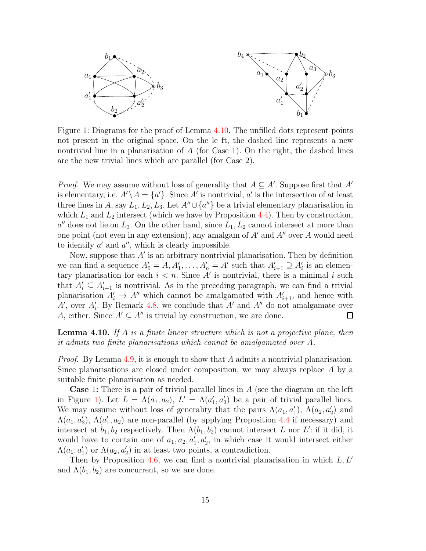

<span id="page-14-1"></span>Figure 1: Diagrams for the proof of Lemma [4.10.](#page-14-0) The unfilled dots represent points not present in the original space. On the le ft, the dashed line represents a new nontrivial line in a planarisation of  $A$  (for Case 1). On the right, the dashed lines are the new trivial lines which are parallel (for Case 2).

*Proof.* We may assume without loss of generality that  $A \subseteq A'$ . Suppose first that A' is elementary, i.e.  $A' \setminus A = \{a'\}$ . Since  $A'$  is nontrivial,  $a'$  is the intersection of at least three lines in A, say  $L_1, L_2, L_3$ . Let  $A'' \cup \{a''\}$  be a trivial elementary planarisation in which  $L_1$  and  $L_2$  intersect (which we have by Proposition [4.4\)](#page-12-1). Then by construction,  $a''$  does not lie on  $L_3$ . On the other hand, since  $L_1, L_2$  cannot intersect at more than one point (not even in any extension), any amalgam of  $A'$  and  $A''$  over A would need to identify  $a'$  and  $a''$ , which is clearly impossible.

Now, suppose that  $A'$  is an arbitrary nontrivial planarisation. Then by definition we can find a sequence  $A'_0 = A, A'_1, \ldots, A'_n = A'$  such that  $A'_{i+1} \supseteq A'_i$  is an elementary planarisation for each  $i < n$ . Since A' is nontrivial, there is a minimal i such that  $A'_i \subseteq A'_{i+1}$  is nontrivial. As in the preceding paragraph, we can find a trivial planarisation  $A'_i \to A''$  which cannot be amalgamated with  $A'_{i+1}$ , and hence with  $A'$ , over  $A'_i$ . By Remark [4.8,](#page-13-1) we conclude that  $A'$  and  $A''$  do not amalgamate over A, either. Since  $A' \subseteq A''$  is trivial by construction, we are done.  $\Box$ 

<span id="page-14-0"></span>Lemma 4.10. *If* A *is a finite linear structure which is not a projective plane, then it admits two finite planarisations which cannot be amalgamated over* A*.*

*Proof.* By Lemma [4.9,](#page-13-2) it is enough to show that A admits a nontrivial planarisation. Since planarisations are closed under composition, we may always replace A by a suitable finite planarisation as needed.

Case 1: There is a pair of trivial parallel lines in A (see the diagram on the left in Figure [1\)](#page-14-1). Let  $L = \Lambda(a_1, a_2), L' = \Lambda(a'_1, a'_2)$  be a pair of trivial parallel lines. We may assume without loss of generality that the pairs  $\Lambda(a_1, a'_1)$ ,  $\Lambda(a_2, a'_2)$  and  $\Lambda(a_1, a'_2)$ ,  $\Lambda(a'_1, a_2)$  are non-parallel (by applying Proposition [4.4](#page-12-1) if necessary) and intersect at  $b_1, b_2$  respectively. Then  $\Lambda(b_1, b_2)$  cannot intersect L nor L': if it did, it would have to contain one of  $a_1, a_2, a'_1, a'_2$ , in which case it would intersect either  $\Lambda(a_1, a'_1)$  or  $\Lambda(a_2, a'_2)$  in at least two points, a contradiction.

Then by Proposition [4.6,](#page-13-3) we can find a nontrivial planarisation in which  $L, L'$ and  $\Lambda(b_1, b_2)$  are concurrent, so we are done.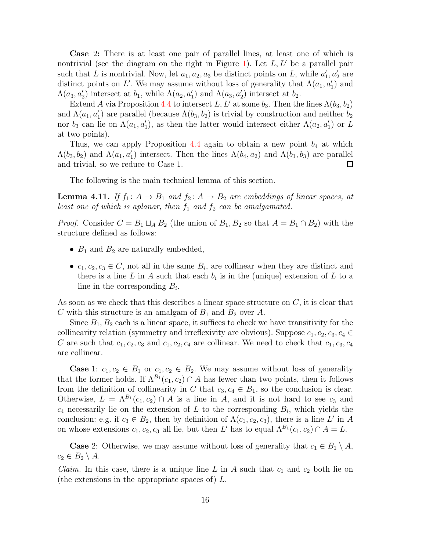Case 2: There is at least one pair of parallel lines, at least one of which is nontrivial (see the diagram on the right in Figure [1\)](#page-14-1). Let  $L, L'$  be a parallel pair such that L is nontrivial. Now, let  $a_1, a_2, a_3$  be distinct points on L, while  $a'_1, a'_2$  are distinct points on L'. We may assume without loss of generality that  $\Lambda(a_1, a'_1)$  and  $\Lambda(a_3, a'_2)$  intersect at  $b_1$ , while  $\Lambda(a_2, a'_1)$  and  $\Lambda(a_3, a'_2)$  intersect at  $b_2$ .

Extend A via Proposition [4.4](#page-12-1) to intersect L, L' at some  $b_3$ . Then the lines  $\Lambda(b_3, b_2)$ and  $\Lambda(a_1, a'_1)$  are parallel (because  $\Lambda(b_3, b_2)$ ) is trivial by construction and neither  $b_2$ nor  $b_3$  can lie on  $\Lambda(a_1, a'_1)$ , as then the latter would intersect either  $\Lambda(a_2, a'_1)$  or L at two points).

Thus, we can apply Proposition [4.4](#page-12-1) again to obtain a new point  $b_4$  at which  $\Lambda(b_3, b_2)$  and  $\Lambda(a_1, a'_1)$  intersect. Then the lines  $\Lambda(b_4, a_2)$  and  $\Lambda(b_1, b_3)$  are parallel and trivial, so we reduce to Case 1.  $\Box$ 

The following is the main technical lemma of this section.

<span id="page-15-0"></span>**Lemma 4.11.** *If*  $f_1: A \rightarrow B_1$  *and*  $f_2: A \rightarrow B_2$  *are embeddings of linear spaces, at least one of which is aplanar, then*  $f_1$  *and*  $f_2$  *can be amalgamated.* 

*Proof.* Consider  $C = B_1 \sqcup_A B_2$  (the union of  $B_1, B_2$  so that  $A = B_1 \cap B_2$ ) with the structure defined as follows:

- $B_1$  and  $B_2$  are naturally embedded,
- $c_1, c_2, c_3 \in \mathbb{C}$ , not all in the same  $B_i$ , are collinear when they are distinct and there is a line L in A such that each  $b_i$  is in the (unique) extension of L to a line in the corresponding  $B_i$ .

As soon as we check that this describes a linear space structure on  $C$ , it is clear that C with this structure is an amalgam of  $B_1$  and  $B_2$  over A.

Since  $B_1, B_2$  each is a linear space, it suffices to check we have transitivity for the collinearity relation (symmetry and irreflexivity are obvious). Suppose  $c_1, c_2, c_3, c_4 \in$ C are such that  $c_1, c_2, c_3$  and  $c_1, c_2, c_4$  are collinear. We need to check that  $c_1, c_3, c_4$ are collinear.

**Case** 1:  $c_1, c_2 \in B_1$  or  $c_1, c_2 \in B_2$ . We may assume without loss of generality that the former holds. If  $\Lambda^{B_1}(c_1, c_2) \cap A$  has fewer than two points, then it follows from the definition of collinearity in C that  $c_3, c_4 \in B_1$ , so the conclusion is clear. Otherwise,  $L = \Lambda^{B_1}(c_1, c_2) \cap A$  is a line in A, and it is not hard to see  $c_3$  and  $c_4$  necessarily lie on the extension of L to the corresponding  $B_i$ , which yields the conclusion: e.g. if  $c_3 \in B_2$ , then by definition of  $\Lambda(c_1, c_2, c_3)$ , there is a line L' in A on whose extensions  $c_1, c_2, c_3$  all lie, but then L' has to equal  $\Lambda^{B_1}(c_1, c_2) \cap A = L$ .

**Case** 2: Otherwise, we may assume without loss of generality that  $c_1 \in B_1 \setminus A$ ,  $c_2 \in B_2 \setminus A$ .

*Claim.* In this case, there is a unique line L in A such that  $c_1$  and  $c_2$  both lie on (the extensions in the appropriate spaces of) L.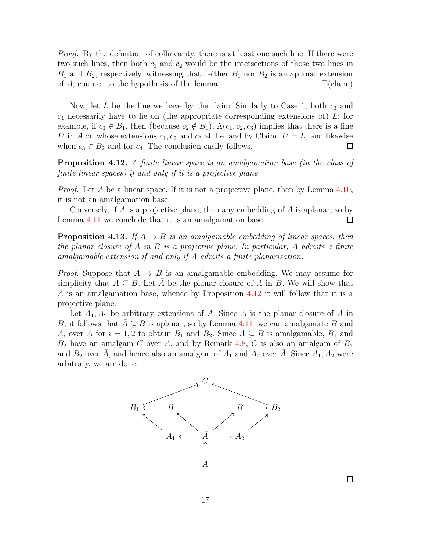*Proof.* By the definition of collinearity, there is at least one such line. If there were two such lines, then both  $c_1$  and  $c_2$  would be the intersections of those two lines in  $B_1$  and  $B_2$ , respectively, witnessing that neither  $B_1$  nor  $B_2$  is an aplanar extension of A, counter to the hypothesis of the lemma.  $\square$  (claim)

Now, let  $L$  be the line we have by the claim. Similarly to Case 1, both  $c_3$  and  $c_4$  necessarily have to lie on (the appropriate corresponding extensions of) L: for example, if  $c_3 \in B_1$ , then (because  $c_2 \notin B_1$ ),  $\Lambda(c_1, c_2, c_3)$  implies that there is a line L' in A on whose extensions  $c_1, c_2$  and  $c_3$  all lie, and by Claim,  $L' = L$ , and likewise when  $c_3 \in B_2$  and for  $c_4$ . The conclusion easily follows.  $\Box$ 

<span id="page-16-0"></span>Proposition 4.12. *A finite linear space is an amalgamation base (in the class of finite linear spaces) if and only if it is a projective plane.*

*Proof.* Let A be a linear space. If it is not a projective plane, then by Lemma [4.10,](#page-14-0) it is not an amalgamation base.

Conversely, if  $A$  is a projective plane, then any embedding of  $A$  is aplanar, so by Lemma [4.11](#page-15-0) we conclude that it is an amalgamation base.  $\Box$ 

<span id="page-16-1"></span>**Proposition 4.13.** *If*  $A \rightarrow B$  *is an amalgamable embedding of linear spaces, then the planar closure of* A *in* B *is a projective plane. In particular,* A *admits a finite amalgamable extension if and only if* A *admits a finite planarisation.*

*Proof.* Suppose that  $A \rightarrow B$  is an amalgamable embedding. We may assume for simplicity that  $A \subseteq B$ . Let A be the planar closure of A in B. We will show that A is an amalgamation base, whence by Proposition  $4.12$  it will follow that it is a projective plane.

Let  $A_1, A_2$  be arbitrary extensions of  $\overline{A}$ . Since  $\overline{A}$  is the planar closure of A in B, it follows that  $\overline{A} \subseteq B$  is aplanar, so by Lemma [4.11,](#page-15-0) we can amalgamate B and  $A_i$  over A for  $i = 1, 2$  to obtain  $B_1$  and  $B_2$ . Since  $A \subseteq B$  is amalgamable,  $B_1$  and  $B_2$  have an amalgam C over A, and by Remark [4.8,](#page-13-1) C is also an amalgam of  $B_1$ and  $B_2$  over  $\overline{A}$ , and hence also an amalgam of  $A_1$  and  $A_2$  over  $\overline{A}$ . Since  $A_1, A_2$  were arbitrary, we are done.



 $\Box$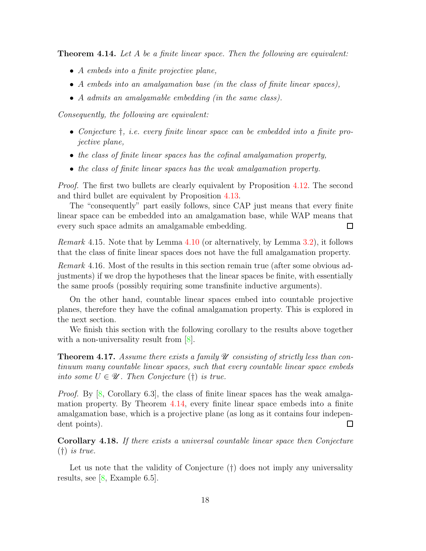<span id="page-17-1"></span>Theorem 4.14. *Let* A *be a finite linear space. Then the following are equivalent:*

- A *embeds into a finite projective plane,*
- A *embeds into an amalgamation base (in the class of finite linear spaces),*
- A *admits an amalgamable embedding (in the same class).*

*Consequently, the following are equivalent:*

- *Conjecture* †*, i.e. every finite linear space can be embedded into a finite projective plane,*
- *the class of finite linear spaces has the cofinal amalgamation property,*
- *the class of finite linear spaces has the weak amalgamation property.*

*Proof.* The first two bullets are clearly equivalent by Proposition [4.12.](#page-16-0) The second and third bullet are equivalent by Proposition [4.13.](#page-16-1)

The "consequently" part easily follows, since CAP just means that every finite linear space can be embedded into an amalgamation base, while WAP means that every such space admits an amalgamable embedding.  $\Box$ 

*Remark* 4.15*.* Note that by Lemma [4.10](#page-14-0) (or alternatively, by Lemma [3.2\)](#page-6-2), it follows that the class of finite linear spaces does not have the full amalgamation property.

<span id="page-17-2"></span>*Remark* 4.16*.* Most of the results in this section remain true (after some obvious adjustments) if we drop the hypotheses that the linear spaces be finite, with essentially the same proofs (possibly requiring some transfinite inductive arguments).

On the other hand, countable linear spaces embed into countable projective planes, therefore they have the cofinal amalgamation property. This is explored in the next section.

We finish this section with the following corollary to the results above together with a non-universality result from  $[8]$ .

<span id="page-17-0"></span>Theorem 4.17. *Assume there exists a family*  $\mathscr U$  *consisting of strictly less than continuum many countable linear spaces, such that every countable linear space embeds into some*  $U \in \mathcal{U}$ . Then Conjecture (†) *is true.* 

*Proof.* By [\[8,](#page-20-6) Corollary 6.3], the class of finite linear spaces has the weak amalgamation property. By Theorem [4.14,](#page-17-1) every finite linear space embeds into a finite amalgamation base, which is a projective plane (as long as it contains four independent points).  $\Box$ 

<span id="page-17-3"></span>Corollary 4.18. *If there exists a universal countable linear space then Conjecture* (†) *is true.*

Let us note that the validity of Conjecture  $(†)$  does not imply any universality results, see [\[8,](#page-20-6) Example 6.5].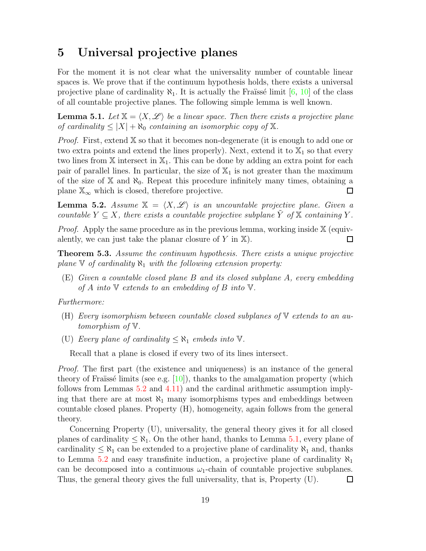### <span id="page-18-0"></span>5 Universal projective planes

For the moment it is not clear what the universality number of countable linear spaces is. We prove that if the continuum hypothesis holds, there exists a universal projective plane of cardinality  $\aleph_1$ . It is actually the Fraüssé limit [\[6,](#page-20-8) [10\]](#page-20-9) of the class of all countable projective planes. The following simple lemma is well known.

<span id="page-18-2"></span>**Lemma 5.1.** Let  $X = \langle X, \mathcal{L} \rangle$  be a linear space. Then there exists a projective plane *of cardinality*  $\leq |X| + \aleph_0$  *containing an isomorphic copy of*  $\mathbb{X}$ *.* 

*Proof.* First, extend X so that it becomes non-degenerate (it is enough to add one or two extra points and extend the lines properly). Next, extend it to  $\mathbb{X}_1$  so that every two lines from  $X$  intersect in  $X_1$ . This can be done by adding an extra point for each pair of parallel lines. In particular, the size of  $\mathbb{X}_1$  is not greater than the maximum of the size of  $X$  and  $\aleph_0$ . Repeat this procedure infinitely many times, obtaining a plane  $\mathbb{X}_{\infty}$  which is closed, therefore projective.  $\Box$ 

<span id="page-18-3"></span>**Lemma 5.2.** Assume  $X = \langle X, \mathcal{L} \rangle$  is an uncountable projective plane. Given a *countable*  $Y \subseteq X$ *, there exists a countable projective subplane*  $\hat{Y}$  *of*  $\mathbb{X}$  *containing*  $Y$ *.* 

*Proof.* Apply the same procedure as in the previous lemma, working inside  $X$  (equivalently, we can just take the planar closure of  $Y$  in  $X$ ). □

<span id="page-18-1"></span>Theorem 5.3. *Assume the continuum hypothesis. There exists a unique projective plane*  $\nabla$  *of cardinality*  $\aleph_1$  *with the following extension property:* 

(E) *Given a countable closed plane* B *and its closed subplane* A*, every embedding of* A *into* V *extends to an embedding of* B *into* V*.*

*Furthermore:*

- (H) *Every isomorphism between countable closed subplanes of* V *extends to an automorphism of* V*.*
- (U) *Every plane of cardinality*  $\leq \aleph_1$  *embeds into*  $\mathbb{V}$ *.*

Recall that a plane is closed if every two of its lines intersect.

*Proof.* The first part (the existence and uniqueness) is an instance of the general theory of Fraïssé limits (see e.g.  $[10]$ ), thanks to the amalgamation property (which follows from Lemmas [5.2](#page-18-3) and [4.11\)](#page-15-0) and the cardinal arithmetic assumption implying that there are at most  $\aleph_1$  many isomorphisms types and embeddings between countable closed planes. Property (H), homogeneity, again follows from the general theory.

Concerning Property (U), universality, the general theory gives it for all closed planes of cardinality  $\leq \aleph_1$ . On the other hand, thanks to Lemma [5.1,](#page-18-2) every plane of cardinality  $\leq \aleph_1$  can be extended to a projective plane of cardinality  $\aleph_1$  and, thanks to Lemma [5.2](#page-18-3) and easy transfinite induction, a projective plane of cardinality  $\aleph_1$ can be decomposed into a continuous  $\omega_1$ -chain of countable projective subplanes. Thus, the general theory gives the full universality, that is, Property (U).  $\Box$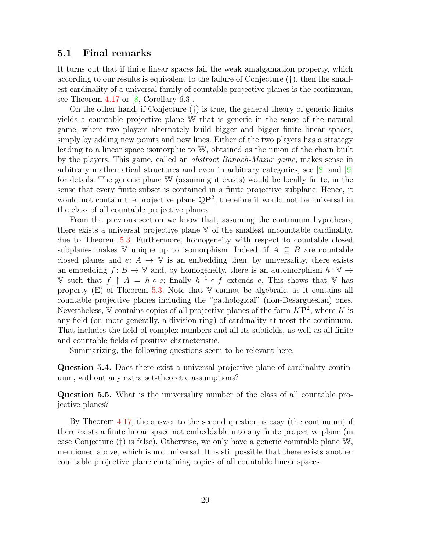#### <span id="page-19-0"></span>5.1 Final remarks

It turns out that if finite linear spaces fail the weak amalgamation property, which according to our results is equivalent to the failure of Conjecture (†), then the smallest cardinality of a universal family of countable projective planes is the continuum, see Theorem [4.17](#page-17-0) or [\[8,](#page-20-6) Corollary 6.3].

On the other hand, if Conjecture (†) is true, the general theory of generic limits yields a countable projective plane W that is generic in the sense of the natural game, where two players alternately build bigger and bigger finite linear spaces, simply by adding new points and new lines. Either of the two players has a strategy leading to a linear space isomorphic to W, obtained as the union of the chain built by the players. This game, called an *abstract Banach-Mazur game*, makes sense in arbitrary mathematical structures and even in arbitrary categories, see [\[8\]](#page-20-6) and [\[9\]](#page-20-10) for details. The generic plane W (assuming it exists) would be locally finite, in the sense that every finite subset is contained in a finite projective subplane. Hence, it would not contain the projective plane  $\mathbb{Q}P^2$ , therefore it would not be universal in the class of all countable projective planes.

From the previous section we know that, assuming the continuum hypothesis, there exists a universal projective plane V of the smallest uncountable cardinality, due to Theorem [5.3.](#page-18-1) Furthermore, homogeneity with respect to countable closed subplanes makes V unique up to isomorphism. Indeed, if  $A \subseteq B$  are countable closed planes and  $e: A \to V$  is an embedding then, by universality, there exists an embedding  $f: B \to \mathbb{V}$  and, by homogeneity, there is an automorphism  $h: \mathbb{V} \to$ V such that  $f \restriction A = h \circ e$ ; finally  $h^{-1} \circ f$  extends e. This shows that V has property  $(E)$  of Theorem [5.3.](#page-18-1) Note that  $V$  cannot be algebraic, as it contains all countable projective planes including the "pathological" (non-Desarguesian) ones. Nevertheless, V contains copies of all projective planes of the form  $K\mathbf{P}^2$ , where K is any field (or, more generally, a division ring) of cardinality at most the continuum. That includes the field of complex numbers and all its subfields, as well as all finite and countable fields of positive characteristic.

Summarizing, the following questions seem to be relevant here.

Question 5.4. Does there exist a universal projective plane of cardinality continuum, without any extra set-theoretic assumptions?

Question 5.5. What is the universality number of the class of all countable projective planes?

By Theorem [4.17,](#page-17-0) the answer to the second question is easy (the continuum) if there exists a finite linear space not embeddable into any finite projective plane (in case Conjecture (†) is false). Otherwise, we only have a generic countable plane W, mentioned above, which is not universal. It is stil possible that there exists another countable projective plane containing copies of all countable linear spaces.